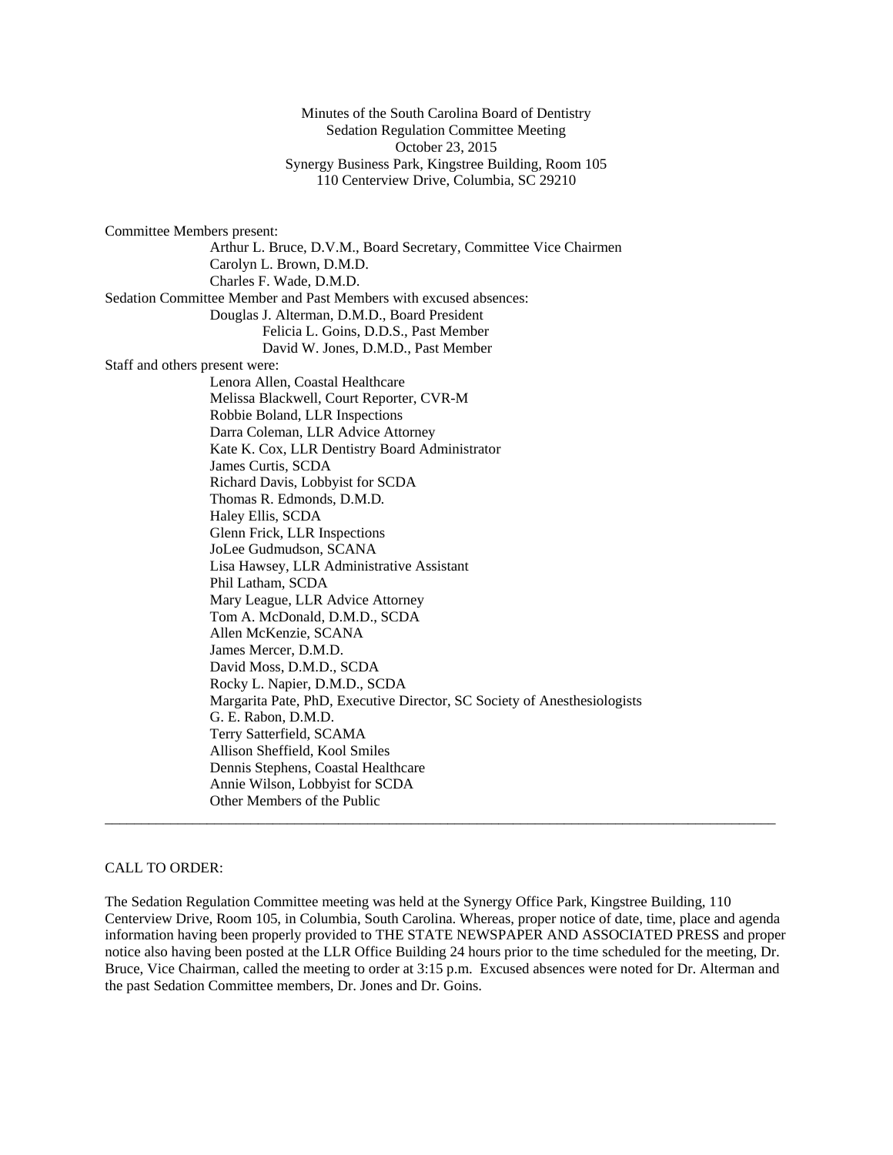Minutes of the South Carolina Board of Dentistry Sedation Regulation Committee Meeting October 23, 2015 Synergy Business Park, Kingstree Building, Room 105 110 Centerview Drive, Columbia, SC 29210

Committee Members present: Arthur L. Bruce, D.V.M., Board Secretary, Committee Vice Chairmen Carolyn L. Brown, D.M.D. Charles F. Wade, D.M.D. Sedation Committee Member and Past Members with excused absences: Douglas J. Alterman, D.M.D., Board President Felicia L. Goins, D.D.S., Past Member David W. Jones, D.M.D., Past Member Staff and others present were: Lenora Allen, Coastal Healthcare Melissa Blackwell, Court Reporter, CVR-M Robbie Boland, LLR Inspections Darra Coleman, LLR Advice Attorney Kate K. Cox, LLR Dentistry Board Administrator James Curtis, SCDA Richard Davis, Lobbyist for SCDA Thomas R. Edmonds, D.M.D*.* Haley Ellis, SCDA Glenn Frick, LLR Inspections JoLee Gudmudson, SCANA Lisa Hawsey, LLR Administrative Assistant Phil Latham, SCDA Mary League, LLR Advice Attorney Tom A. McDonald, D.M.D., SCDA Allen McKenzie, SCANA James Mercer, D.M.D. David Moss, D.M.D., SCDA Rocky L. Napier, D.M.D., SCDA Margarita Pate, PhD, Executive Director, SC Society of Anesthesiologists G. E. Rabon, D.M.D. Terry Satterfield, SCAMA Allison Sheffield, Kool Smiles Dennis Stephens, Coastal Healthcare Annie Wilson, Lobbyist for SCDA Other Members of the Public  $\_$  ,  $\_$  ,  $\_$  ,  $\_$  ,  $\_$  ,  $\_$  ,  $\_$  ,  $\_$  ,  $\_$  ,  $\_$  ,  $\_$  ,  $\_$  ,  $\_$  ,  $\_$  ,  $\_$  ,  $\_$  ,  $\_$  ,  $\_$  ,  $\_$  ,  $\_$  ,  $\_$  ,  $\_$  ,  $\_$  ,  $\_$  ,  $\_$  ,  $\_$  ,  $\_$  ,  $\_$  ,  $\_$  ,  $\_$  ,  $\_$  ,  $\_$  ,  $\_$  ,  $\_$  ,  $\_$  ,  $\_$  ,  $\_$  ,

### CALL TO ORDER:

The Sedation Regulation Committee meeting was held at the Synergy Office Park, Kingstree Building, 110 Centerview Drive, Room 105, in Columbia, South Carolina. Whereas, proper notice of date, time, place and agenda information having been properly provided to THE STATE NEWSPAPER AND ASSOCIATED PRESS and proper notice also having been posted at the LLR Office Building 24 hours prior to the time scheduled for the meeting, Dr. Bruce, Vice Chairman, called the meeting to order at 3:15 p.m. Excused absences were noted for Dr. Alterman and the past Sedation Committee members, Dr. Jones and Dr. Goins.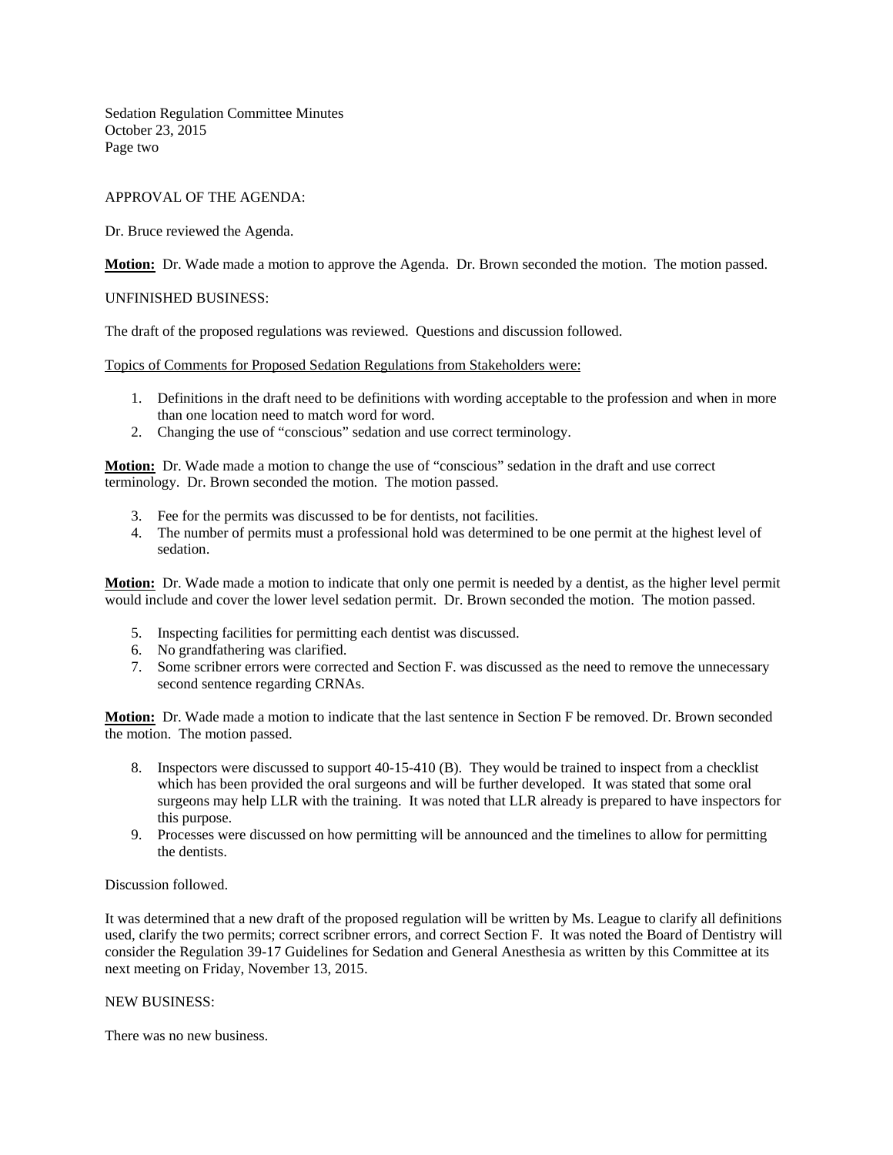Sedation Regulation Committee Minutes October 23, 2015 Page two

# APPROVAL OF THE AGENDA:

## Dr. Bruce reviewed the Agenda.

**Motion:** Dr. Wade made a motion to approve the Agenda. Dr. Brown seconded the motion. The motion passed.

#### UNFINISHED BUSINESS:

The draft of the proposed regulations was reviewed. Questions and discussion followed.

Topics of Comments for Proposed Sedation Regulations from Stakeholders were:

- 1. Definitions in the draft need to be definitions with wording acceptable to the profession and when in more than one location need to match word for word.
- 2. Changing the use of "conscious" sedation and use correct terminology.

**Motion:** Dr. Wade made a motion to change the use of "conscious" sedation in the draft and use correct terminology. Dr. Brown seconded the motion. The motion passed.

- 3. Fee for the permits was discussed to be for dentists, not facilities.
- 4. The number of permits must a professional hold was determined to be one permit at the highest level of sedation.

**Motion:** Dr. Wade made a motion to indicate that only one permit is needed by a dentist, as the higher level permit would include and cover the lower level sedation permit. Dr. Brown seconded the motion. The motion passed.

- 5. Inspecting facilities for permitting each dentist was discussed.
- 6. No grandfathering was clarified.
- 7. Some scribner errors were corrected and Section F. was discussed as the need to remove the unnecessary second sentence regarding CRNAs.

**Motion:** Dr. Wade made a motion to indicate that the last sentence in Section F be removed. Dr. Brown seconded the motion. The motion passed.

- 8. Inspectors were discussed to support 40-15-410 (B). They would be trained to inspect from a checklist which has been provided the oral surgeons and will be further developed. It was stated that some oral surgeons may help LLR with the training. It was noted that LLR already is prepared to have inspectors for this purpose.
- 9. Processes were discussed on how permitting will be announced and the timelines to allow for permitting the dentists.

#### Discussion followed.

It was determined that a new draft of the proposed regulation will be written by Ms. League to clarify all definitions used, clarify the two permits; correct scribner errors, and correct Section F. It was noted the Board of Dentistry will consider the Regulation 39-17 Guidelines for Sedation and General Anesthesia as written by this Committee at its next meeting on Friday, November 13, 2015.

#### NEW BUSINESS:

There was no new business.